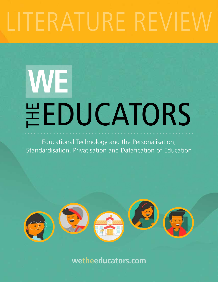# ITERATURE REVIEY

# **\EEDUCATORS WE**

Educational Technology and the Personalisation, Standardisation, Privatisation and Datafication of Education



**wetheeducators.com**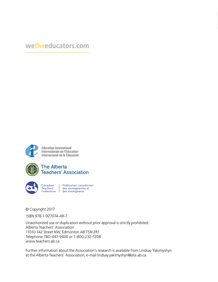#### **wetheeducators.com**



Education International<br>Internationale de l'Education<br>Internacional de la Educación



Canadian Fédération canadienne<br>Teachers' des enseignantes et<br>Federation des enseignants

© Copyright 2017

ISBN 978-1-927074-49-7

Unauthorized use or duplication without prior approval is strictly prohibited. Alberta Teachers' Association 11010 142 Street NW, Edmonton AB T5N 2R1 Telephone 780-447-9400 or 1-800-232-7208 www.teachers.ab.ca

Further information about the Association's research is available from Lindsay Yakimyshyn at the Alberta Teachers' Association; e-mail lindsay.yakimyshyn@ata.ab.ca.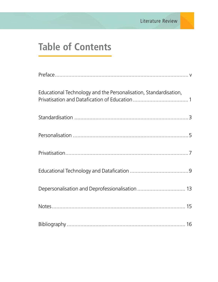# **Table of Contents**

| Educational Technology and the Personalisation, Standardisation, |  |
|------------------------------------------------------------------|--|
|                                                                  |  |
|                                                                  |  |
|                                                                  |  |
|                                                                  |  |
| Depersonalisation and Deprofessionalisation  13                  |  |
|                                                                  |  |
|                                                                  |  |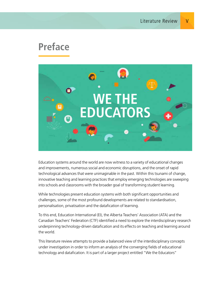### **Preface**



Education systems around the world are now witness to a variety of educational changes and improvements, numerous social and economic disruptions, and the onset of rapid technological advances that were unimaginable in the past. Within this tsunami of change, innovative teaching and learning practices that employ emerging technologies are sweeping into schools and classrooms with the broader goal of transforming student learning.

While technologies present education systems with both significant opportunities and challenges, some of the most profound developments are related to standardisation, personalisation, privatisation and the datafication of learning.

To this end, Education International (EI), the Alberta Teachers' Association (ATA) and the Canadian Teachers' Federation (CTF) identified a need to explore the interdisciplinary research underpinning technology-driven datafication and its effects on teaching and learning around the world.

This literature review attempts to provide a balanced view of the interdisciplinary concepts under investigation in order to inform an analysis of the converging fields of educational technology and datafication. It is part of a larger project entitled "We the Educators"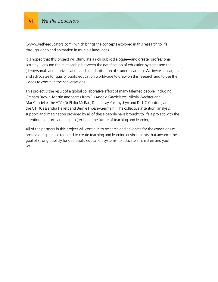(www.wetheeducators.com), which brings the concepts explored in this research to life through video and animation in multiple languages.

It is hoped that this project will stimulate a rich public dialogue—and greater professional scrutiny—around the relationship between the datafication of education systems and the (de)personalisation, privatisation and standardisation of student learning. We invite colleagues and advocates for quality public education worldwide to draw on this research and to use the videos to continue the conversations.

This project is the result of a global collaborative effort of many talented people, including Graham Brown-Martin and teams from EI (Angelo Gavrielatos, Nikola Wachter and Mar Candela), the ATA (Dr Philip McRae, Dr Lindsay Yakimyshyn and Dr J-C Couture) and the CTF (Cassandra Hallett and Bernie Froese-Germain). The collective attention, analysis, support and imagination provided by all of these people have brought to life a project with the intention to inform and help to (re)shape the future of teaching and learning.

All of the partners in this project will continue to research and advocate for the conditions of professional practice required to create teaching and learning environments that advance the goal of strong publicly funded public education systems: to educate all children and youth well.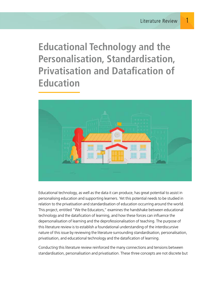**Educational Technology and the Personalisation, Standardisation, Privatisation and Datafication of Education**



Educational technology, as well as the data it can produce, has great potential to assist in personalising education and supporting learners. Yet this potential needs to be studied in relation to the privatisation and standardisation of education occurring around the world. This project, entitled "We the Educators," examines the handshake between educational technology and the datafication of learning, and how these forces can influence the depersonalisation of learning and the deprofessionalisation of teaching. The purpose of this literature review is to establish a foundational understanding of the interdiscursive nature of this issue by reviewing the literature surrounding standardisation, personalisation, privatisation, and educational technology and the datafication of learning.

Conducting this literature review reinforced the many connections and tensions between standardisation, personalisation and privatisation. These three concepts are not discrete but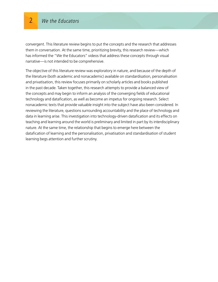convergent. This literature review begins to put the concepts and the research that addresses them in conversation. At the same time, prioritizing brevity, this research review—which has informed the "We the Educators" videos that address these concepts through visual narrative—is not intended to be comprehensive.

The objective of this literature review was exploratory in nature, and because of the depth of the literature (both academic and nonacademic) available on standardisation, personalisation and privatisation, this review focuses primarily on scholarly articles and books published in the past decade. Taken together, this research attempts to provide a balanced view of the concepts and may begin to inform an analysis of the converging fields of educational technology and datafication, as well as become an impetus for ongoing research. Select nonacademic texts that provide valuable insight into the subject have also been considered. In reviewing the literature, questions surrounding accountability and the place of technology and data in learning arise. This investigation into technology-driven datafication and its effects on teaching and learning around the world is preliminary and limited in part by its interdisciplinary nature. At the same time, the relationship that begins to emerge here between the datafication of learning and the personalisation, privatisation and standardisation of student learning begs attention and further scrutiny.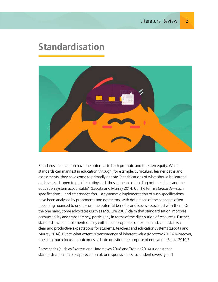### **Standardisation**



Standards in education have the potential to both promote and threaten equity. While standards can manifest in education through, for example, curriculum, learner paths and assessments, they have come to primarily denote "specifications of what should be learned and assessed, open to public scrutiny and, thus, a means of holding both teachers and the education system accountable" (Lepota and Murray 2014, 6). The terms *standards*—such specifications—and *standardisation*—a systematic implementation of such specifications have been analysed by proponents and detractors, with definitions of the concepts often becoming nuanced to underscore the potential benefits and issues associated with them. On the one hand, some advocates (such as McClure 2005) claim that standardisation improves accountability and transparency, particularly in terms of the distribution of resources. Further, standards, when implemented fairly with the appropriate context in mind, can establish clear and productive expectations for students, teachers and education systems (Lepota and Murray 2014). But to what extent is transparency of inherent value (Morozov 2013)? Moreover, does too much focus on outcomes call into question the purpose of education (Biesta 2010)?

Some critics (such as Skerrett and Hargreaves 2008 and Tröhler 2014) suggest that standardisation inhibits appreciation of, or responsiveness to, student diversity and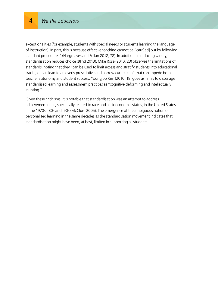exceptionalities (for example, students with special needs or students learning the language of instruction). In part, this is because effective teaching cannot be "carr[ied] out by following standard procedures" (Hargreaves and Fullan 2012, 78). In addition, in reducing variety, standardisation reduces choice (Blind 2013). Mike Rose (2010, 23) observes the limitations of standards, noting that they "can be used to limit access and stratify students into educational tracks, or can lead to an overly prescriptive and narrow curriculum" that can impede both teacher autonomy and student success. Youngjoo Kim (2010, 18) goes as far as to disparage standardised learning and assessment practices as "cognitive deforming and intellectually stunting."

Given these criticisms, it is notable that standardisation was an attempt to address achievement gaps, specifically related to race and socioeconomic status, in the United States in the 1970s, '80s and '90s (McClure 2005). The emergence of the ambiguous notion of personalised learning in the same decades as the standardisation movement indicates that standardisation might have been, at best, limited in supporting all students.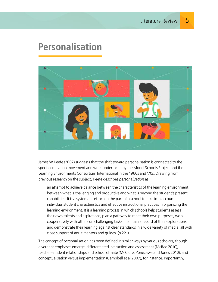#### **Personalisation**



James W Keefe (2007) suggests that the shift toward personalisation is connected to the special education movement and work undertaken by the Model Schools Project and the Learning Environments Consortium International in the 1960s and '70s. Drawing from previous research on the subject, Keefe describes *personalisation* as

an attempt to achieve balance between the characteristics of the learning environment, between what is challenging and productive and what is beyond the student's present capabilities. It is a systematic effort on the part of a school to take into account individual student characteristics and effective instructional practices in organizing the learning environment. It is a learning process in which schools help students assess their own talents and aspirations, plan a pathway to meet their own purposes, work cooperatively with others on challenging tasks, maintain a record of their explorations, and demonstrate their learning against clear standards in a wide variety of media, all with close support of adult mentors and guides. (p 221)

The concept of personalisation has been defined in similar ways by various scholars, though divergent emphases emerge: differentiated instruction and assessment (McRae 2010), teacher–student relationships and school climate (McClure, Yonezawa and Jones 2010), and conceptualisation versus implementation (Campbell et al 2007), for instance. Importantly,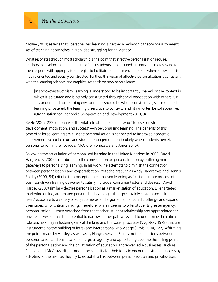McRae (2014) asserts that "personalized learning is neither a pedagogic theory nor a coherent set of teaching approaches; it is an idea struggling for an identity."

What resonates through most scholarship is the point that effective personalisation requires teachers to develop an understanding of their students' unique needs, talents and interests and to then respond with appropriate strategies to facilitate learning in environments where knowledge is inquiry oriented and socially constructed. Further, this vision of effective personalisation is consistent with the learning sciences and empirical research on how people learn:

[In socio-constructivism] learning is understood to be importantly shaped by the context in which it is situated and is actively constructed through social negotiation with others. On this understanding, learning environments should be where constructive, self-regulated learning is fostered; the learning is sensitive to context; [and] it will often be collaborative. (Organisation for Economic Co-operation and Development 2010, 3)

Keefe (2007, 222) emphasises the vital role of the teacher—who "focuses on student development, motivation, and success"—in personalising learning. The benefits of this type of tailored learning are evident: personalisation is connected to improved academic achievement, school culture and student engagement, particularly when students perceive the personalisation in their schools (McClure, Yonezawa and Jones 2010).

Following the articulation of personalised learning in the United Kingdom in 2003, David Hargreaves (2006) contributed to the conversation on personalisation by outlining nine gateways to personalising learning. In his work, he attempts to diminish the connection between personalisation and corporatisation. Yet scholars such as Andy Hargreaves and Dennis Shirley (2009, 84) criticise the concept of personalised learning as "just one more process of business-driven training delivered to satisfy individual consumer tastes and desires." David Hartley (2007) similarly decries personalisation as a marketisation of education. Like targeted marketing online, automated personalised learning—though certainly customised—limits users' exposure to a variety of subjects, ideas and arguments that could challenge and expand their capacity for critical thinking. Therefore, while it seems to offer students greater agency, personalisation—when detached from the teacher–student relationship and appropriated for private interests—has the potential to narrow learner pathways and to undermine the critical role teachers play in fostering critical thinking and the social processes (Vygotsky 1978) that are instrumental to the building of intra- and interpersonal knowledge (Davis 2004, 122). Affirming the points made by Hartley, as well as by Hargreaves and Shirley, notable tensions between personalisation and privatisation emerge as agency and opportunity become the selling points of the personalisation and the privatisation of education. Moreover, edu-businesses, such as Pearson and McGraw-Hill, promote the capacity for their tools to encourage student success by adapting to the user, as they try to establish a link between personalisation and privatisation.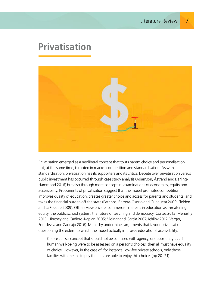#### **Privatisation**



Privatisation emerged as a neoliberal concept that touts parent choice and personalisation but, at the same time, is rooted in market competition and standardisation. As with standardisation, privatisation has its supporters and its critics. Debate over privatisation versus public investment has occurred through case study analysis (Adamson, Åstrand and Darling-Hammond 2016) but also through more conceptual examinations of economics, equity and accessibility. Proponents of privatisation suggest that the model promotes competition, improves quality of education, creates greater choice and access for parents and students, and takes the financial burden off the state (Patrinos, Barrera-Osorio and Guaqueta 2009; Fielden and LaRocque 2009). Others view private, commercial interests in education as threatening equity, the public school system, the future of teaching and democracy (Cortez 2013; Menashy 2013; Hinchey and Cadiero-Kaplan 2005; Molnar and Garcia 2007; Ichilov 2012; Verger, Fontdevila and Zancajo 2016). Menashy undermines arguments that favour privatisation, questioning the extent to which the model actually improves educational accessibility:

Choice . . . is a concept that should not be confused with agency, or opportunity. . . . If human well-being were to be assessed on a person's choices, then all must have equality of choice. However, in the case of, for instance, low-fee private schools, only those families with means to pay the fees are able to enjoy this choice. (pp 20–21)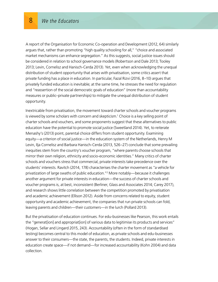A report of the Organisation for Economic Co-operation and Development (2012, 64) similarly argues that, rather than promoting "high quality schooling for all," "choice and associated market mechanisms can enhance segregation." As this suggests, social justice issues should be considered in relation to school governance models (Robertson and Dale 2013; Tooley 2013; Levin, Cornelisz and Hanisch-Cerda 2013). Yet, even when acknowledging the unequal distribution of student opportunity that arises with privatisation, some critics assert that private funding has a place in education. In particular, Fazal Rizvi (2016, 8–10) argues that privately funded education is inevitable; at the same time, he stresses the need for regulation and "reassertion of the social democratic goals of education" (more than accountability measures or public–private partnerships) to mitigate the unequal distribution of student opportunity.

Inextricable from privatisation, the movement toward charter schools and voucher programs is viewed by some scholars with concern and skepticism.<sup>1</sup> Choice is a key selling point of charter schools and vouchers, and some proponents suggest that these alternatives to public education have the potential to promote social justice (Sweetland 2014). Yet, to reiterate Menashy's (2013) point, parental choice differs from student opportunity. Examining equity—a criterion of social justice—in the education system of the Netherlands, Henry M Levin, Ilja Cornelisz and Barbara Hanisch-Cerda (2013, 526–27) conclude that some prevailing inequities stem from the country's voucher program, "where parents choose schools that mirror their own religion, ethnicity and socio-economic identities." Many critics of charter schools and vouchers stress that commercial, private interests take precedence over the students' interests. Ravitch (2014, 178) characterises the charter movement as "a vehicle for privatization of large swaths of public education."2 More notably—because it challenges another argument for private interests in education—the success of charter schools and voucher programs is, at best, inconsistent (Berliner, Glass and Associates 2014; Carey 2017), and research shows little correlation between the competition promoted by privatisation and academic achievement (Ellison 2012). Aside from concerns related to equity, student opportunity and academic achievement, the companies that run private schools can fold, leaving parents and children—their customers—in the lurch (Pollard 2013).

But the privatisation of education continues. For edu-businesses like Pearson, this work entails the "generat[ion] and appropriat[ion] of various data to legitimise its products and services" (Hogan, Sellar and Lingard 2015, 243). Accountability (often in the form of standardised testing) becomes central to this model of education, as private schools and edu-businesses answer to their consumers—the state, the parents, the students. Indeed, private interests in education create space—if not demand—for increased accountability (Kohn 2004) and data collection.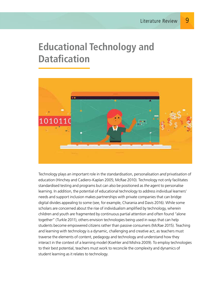## **Educational Technology and Datafication**



Technology plays an important role in the standardisation, personalisation *and* privatisation of education (Hinchey and Cadiero-Kaplan 2005; McRae 2010). Technology not only facilitates standardised testing and programs but can also be positioned as *the* agent to personalise learning. In addition, the potential of educational technology to address individual learners' needs and support inclusion makes partnerships with private companies that can bridge digital divides appealing to some (see, for example, Charania and Davis 2016). While some scholars are concerned about the rise of individualism amplified by technology, wherein children and youth are fragmented by continuous partial attention and often found "alone together" (Turkle 2011), others envision technologies being used in ways that can help students become empowered citizens rather than passive consumers (McRae 2015). Teaching and learning with technology is a dynamic, challenging and creative act, as teachers must traverse the elements of content, pedagogy and technology and understand how they interact in the context of a learning model (Koehler and Mishra 2009). To employ technologies to their best potential, teachers must work to reconcile the complexity and dynamics of student learning as it relates to technology.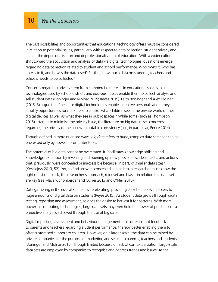The vast possibilities and opportunities that educational technology offers must be considered in relation to potential issues, particularly with respect to data collection, student privacy and, in fact, the depersonalisation and deprofessionalisation of education. With a wider cultural shift toward the acquisition and analysis of data via digital technologies, questions emerge regarding data collection related to student and school performance. Who owns it, who has access to it, and how is the data used? Further, how much data on students, teachers and schools needs to be collected?

Concerns regarding privacy stem from commercial interests in educational spaces, as the technologies used by school districts and edu-businesses enable them to collect, analyse and sell student data (Boninger and Molnar 2015; Reyes 2015). Faith Boninger and Alex Molnar (2015, 3) argue that "because digital technologies enable extensive personalisation, they amplify opportunities for marketers to control what children see in the private world of their digital devices as well as what they see in public spaces." While some (such as Thompson 2015) attempt to minimise the privacy issue, the literature on big data raises concerns regarding the privacy of the user with notable consistency (see, in particular, Pence 2014).

Though defined in more nuanced ways, *big data* refers to huge, complex data sets that can be processed only by powerful computer tools.

The potential of big data cannot be overstated. It "facilitates knowledge-shifting and knowledge-expansion by revealing and opening up new possibilities, ideas, facts, and actions that, previously, were concealed or inaccessible because, in part, of smaller data sizes" (Kosciejew 2013, 52). Yet, to find answers concealed in big data, a researcher must know the right question to ask; the researcher's approach, mindset and biases in relation to a data set are key (see Mayer-Schönberger and Cukier 2013 and O'Neil 2016).

Data gathering in the education field is accelerating, providing stakeholders with access to huge amounts of digital data on students (Reyes 2015). As student data grows through digital testing, reporting and assessment, so does the desire to harvest it for patterns. With more powerful computing technologies, large data sets may even hold the power of prediction—a predictive analytics achieved through the use of big data.

Digital reporting, assessment and behaviour management tools offer instant feedback to parents and teachers regarding student performance, thereby better enabling them to offer customised support to children. However, on a larger scale, the data can be mined by private companies for the purpose of marketing and selling to parents, teachers and students (Boninger and Molnar 2015). Though limited because of lack of contextualization, large-scale data sets are employed by companies to recognise and address trends and issues. At the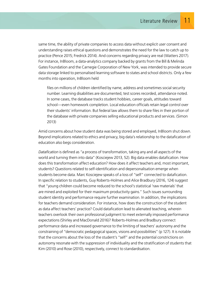same time, the ability of private companies to access data without explicit user consent and understanding raises ethical questions and demonstrates the need for the law to catch up to practice (Pence 2015; Fredrick 2014). And concerns regarding privacy are real (Watters 2017). For instance, InBloom, a data-analytics company backed by grants from the Bill & Melinda Gates Foundation and the Carnegie Corporation of New York, was intended to provide secure data storage linked to personalised learning software to states and school districts. Only a few months into operation, InBloom held

files on millions of children identified by name, address and sometimes social security number. Learning disabilities are documented, test scores recorded, attendance noted. In some cases, the database tracks student hobbies, career goals, attitudes toward school—even homework completion. Local education officials retain legal control over their students' information. But federal law allows them to share files in their portion of the database with private companies selling educational products and services. (Simon 2013)

Amid concerns about how student data was being stored and employed, InBloom shut down. Beyond implications related to ethics and privacy, big data's relationship to the datafication of education also begs consideration.

*Datafication* is defined as "a process of transformation, taking any and all aspects of the world and turning them into data" (Kosciejew 2013, 52). Big data enables datafication. How does this transformation affect education? How does it affect teachers and, most important, students? Questions related to self-identification and depersonalisation emerge when students become data. Marc Kosciejew speaks of a loss of "self" connected to datafication. In specific relation to students, Guy Roberts-Holmes and Alice Bradbury (2016, 124) suggest that "young children could become reduced to the school's statistical 'raw materials' that are mined and exploited for their maximum productivity gains." Such issues surrounding student identity and performance require further examination. In addition, the implications for teachers demand consideration. For instance, how does the construction of the student as data affect teachers' practice? Could datafication lead to alienated teaching, wherein teachers overlook their own professional judgment to meet externally imposed performance expectations (Shirley and MacDonald 2016)? Roberts-Holmes and Bradbury connect performance data and increased governance to the limiting of teachers' autonomy and the constraining of "democratic pedagogical spaces, visions and possibilities" (p 127). It is notable that the concerns about the loss of the student's "self" and the potential constrictions on autonomy resonate with the suppression of individuality and the stratification of students that Kim (2010) and Rose (2010), respectively, connect to standardisation.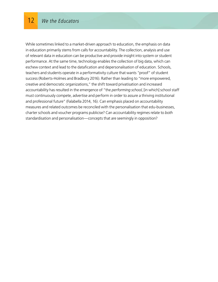While sometimes linked to a market-driven approach to education, the emphasis on data in education primarily stems from calls for accountability. The collection, analysis and use of relevant data in education can be productive and provide insight into system or student performance. At the same time, technology enables the collection of big data, which can eschew context and lead to the datafication and depersonalisation of education. Schools, teachers and students operate in a performativity culture that wants "proof" of student success (Roberts-Holmes and Bradbury 2016). Rather than leading to "more empowered, creative and democratic organizations," the shift toward privatisation and increased accountability has resulted in the emergence of "the *performing school*, [in which] school staff must continuously compete, advertise and perform in order to assure a thriving institutional and professional future" (Falabella 2014, 16). Can emphasis placed on accountability measures and related outcomes be reconciled with the personalisation that edu-businesses, charter schools and voucher programs publicise? Can accountability regimes relate to *both* standardisation and personalisation—concepts that are seemingly in opposition?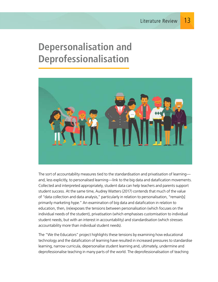## **Depersonalisation and Deprofessionalisation**



The sort of accountability measures tied to the standardisation and privatisation of learning and, less explicitly, to personalised learning—link to the big data and datafication movements. Collected and interpreted appropriately, student data can help teachers and parents support student success. At the same time, Audrey Watters (2017) contends that much of the value of "data collection and data analysis," particularly in relation to personalisation, "remain[s] primarily marketing hype." An examination of big data and datafication in relation to education, then, (re)exposes the tensions between personalisation (which focuses on the individual needs of the student), privatisation (which emphasises customisation to individual student needs, but with an interest in accountability) and standardisation (which stresses accountability more than individual student needs).

The "We the Educators" project highlights these tensions by examining how educational technology and the datafication of learning have resulted in increased pressures to standardise learning, narrow curricula, depersonalise student learning and, ultimately, undermine and deprofessionalise teaching in many parts of the world. The deprofessionalisation of teaching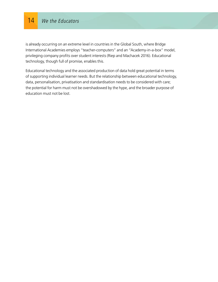#### 14 We the Educators

is already occurring on an extreme level in countries in the Global South, where Bridge International Academies employs "teacher-computers" and an "Academy-in-a-box" model, privileging company profits over student interests (Riep and Machacek 2016). Educational technology, though full of promise, enables this.

Educational technology and the associated production of data hold great potential in terms of supporting individual learner needs. But the relationship between educational technology, data, personalisation, privatisation and standardisation needs to be considered with care; the potential for harm must not be overshadowed by the hype, and the broader purpose of education must not be lost.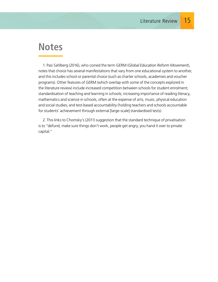#### **Notes**

1. Pasi Sahlberg (2016), who coined the term GERM (*Global Education Reform Movement*), notes that choice has several manifestations that vary from one educational system to another, and this includes school or parental choice (such as charter schools, academies and voucher programs). Other features of GERM (which overlap with some of the concepts explored in the literature review) include increased competition between schools for student enrolment; standardisation of teaching and learning in schools; increasing importance of reading literacy, mathematics and science in schools, often at the expense of arts, music, physical education and social studies; and test-based accountability (holding teachers and schools accountable for students' achievement through external [large-scale] standardised tests).

2. This links to Chomsky's (2011) suggestion that the standard technique of privatisation is to "defund, make sure things don't work, people get angry, you hand it over to private capital."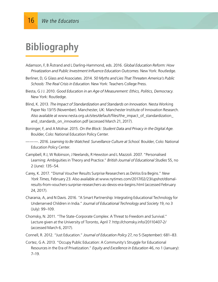# **Bibliography**

- Adamson, F, B Åstrand and L Darling-Hammond, eds. 2016. *Global Education Reform: How Privatization and Public Investment Influence Education Outcomes*. New York: Routledge.
- Berliner, D, G Glass and Associates. 2014. *50 Myths and Lies That Threaten America's Public Schools: The Real Crisis in Education*. New York: Teachers College Press.
- Biesta, G J J. 2010. *Good Education in an Age of Measurement: Ethics, Politics, Democracy*. New York: Routledge.
- Blind, K. 2013. *The Impact of Standardization and Standards on Innovation.* Nesta Working Paper No 13/15 (November). Manchester, UK: Manchester Institute of Innovation Research. Also available at www.nesta.org.uk/sites/default/files/the\_impact\_of\_standardization\_ and\_standards\_on\_innovation.pdf (accessed March 21, 2017).
- Boninger, F, and A Molnar. 2015. *On the Block: Student Data and Privacy in the Digital Age.*  Boulder, Colo: National Education Policy Center.
- ———. 2016. *Learning to Be Watched: Surveillance Culture at School.* Boulder, Colo: National Education Policy Center.
- Campbell, R J, W Robinson, J Neelands, R Hewston and L Mazzoli. 2007. "Personalised Learning: Ambiguities in Theory and Practice." *British Journal of Educational Studies* 55, no 2 (June): 135–54.
- Carey, K. 2017. "Dismal Voucher Results Surprise Researchers as DeVos Era Begins." *New York Times,* February 23*.* Also available at www.nytimes.com/2017/02/23/upshot/dismalresults-from-vouchers-surprise-researchers-as-devos-era-begins.html (accessed February 24, 2017).
- Charania, A, and N Davis. 2016. "A Smart Partnership: Integrating Educational Technology for Underserved Children in India." *Journal of Educational Technology and Society* 19, no 3 (July): 99–109.
- Chomsky, N. 2011. "The State-Corporate Complex: A Threat to Freedom and Survival." Lecture given at the University of Toronto, April 7. http://chomsky.info/20110407-2/ (accessed March 6, 2017).
- Connell, R. 2012. "Just Education." *Journal of Education Policy* 27, no 5 (September): 681–83.
- Cortez, G A. 2013. "Occupy Public Education: A Community's Struggle for Educational Resources in the Era of Privatization." *Equity and Excellence in Education* 46, no 1 (January): 7–19.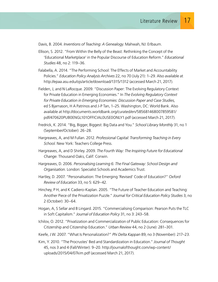Davis, B. 2004. *Inventions of Teaching: A Genealogy*. Mahwah, NJ: Erlbaum.

- Ellison, S. 2012. "From Within the Belly of the Beast: Rethinking the Concept of the 'Educational Marketplace' in the Popular Discourse of Education Reform." *Educational Studies* 48, no 2: 119–36.
- Falabella, A. 2014. "The Performing School: The Effects of Market and Accountability Policies." *Education Policy Analysis Archives* 22, no 70 (July 21): 1–29. Also available at http://epaa.asu.edu/ojs/article/download/1315/1312 (accessed March 21, 2017).
- Fielden, J, and N LaRocque. 2009. "Discussion Paper: The Evolving Regulatory Context for Private Education in Emerging Economies." In *The Evolving Regulatory Context for Private Education in Emerging Economies: Discussion Paper and Case Studies,* ed S Bjarnason, H A Patrinos and J-P Tan, 1–25. Washington, DC: World Bank. Also available at http://documents.worldbank.org/curated/en/585681468007859581/ pdf/470620PUB0ENGL101OFFICIAL0USE0ONLY1.pdf (accessed March 21, 2017).
- Fredrick, K. 2014. "Big, Bigger, Biggest: Big Data and You." *School Library Monthly* 31, no 1 (September/October): 26–28.
- Hargreaves, A, and M Fullan. 2012. *Professional Capital: Transforming Teaching in Every School.* New York: Teachers College Press.
- Hargreaves, A, and D Shirley. 2009. *The Fourth Way: The Inspiring Future for Educational Change.* Thousand Oaks, Calif: Corwin.
- Hargreaves, D. 2006. *Personalising Learning 6: The Final Gateway: School Design and Organisation.* London: Specialist Schools and Academics Trust.
- Hartley, D. 2007. "Personalisation: The Emerging 'Revised' Code of Education?" *Oxford Review of Education* 33, no 5: 629–42.
- Hinchey, P H, and K Cadiero-Kaplan. 2005. "The Future of Teacher Education and Teaching: Another Piece of the Privatization Puzzle." *Journal for Critical Education Policy Studies* 3, no 2 (October): 30–64.
- Hogan, A, S Sellar and B Lingard. 2015. "Commercialising Comparison: Pearson Puts the TLC in Soft Capitalism." *Journal of Education Policy* 31, no 3: 243–58.
- Ichilov, O. 2012. "Privatization and Commercialization of Public Education: Consequences for Citizenship and Citizenship Education." *Urban Review* 44, no 2 (June): 281–301.
- Keefe, J W. 2007. "What Is Personalization?" *Phi Delta Kappan* 89, no 3 (November): 217–23.
- Kim, Y. 2010. "The Procrustes' Bed and Standardization in Education." *Journal of Thought* 45, nos 3 and 4 (Fall/Winter): 9–20. http://journalofthought.com/wp-content/ uploads/2015/04/07kim.pdf (accessed March 21, 2017).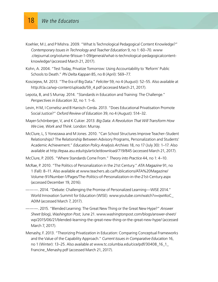- Koehler, M J, and P Mishra. 2009. "What Is Technological Pedagogical Content Knowledge?" *Contemporary Issues in Technology and Teacher Education* 9, no 1: 60–70. www .citejournal.org/volume-9/issue-1-09/general/what-is-technological-pedagogicalcontentknowledge/ (accessed March 21, 2017).
- Kohn, A. 2004. "Test Today, Privatize Tomorrow: Using Accountability to 'Reform' Public Schools to Death." *Phi Delta Kappan* 85, no 8 (April): 569–77.
- Kosciejew, M. 2013. "The Era of Big Data." *Feliciter* 59, no 4 (August): 52–55. Also available at http://cla.ca/wp-content/uploads/59\_4.pdf (accessed March 21, 2017).
- Lepota, B, and S Murray. 2014. "Standards in Education and Training: The Challenge." *Perspectives in Education* 32, no 1: 1–6.
- Levin, H M, I Cornelisz and B Hanisch-Cerda. 2013. "Does Educational Privatisation Promote Social Justice?" *Oxford Review of Education* 39, no 4 (August): 514–32.
- Mayer-Schönberger, V, and K Cukier. 2013. *Big Data: A Revolution That Will Transform How We Live, Work and Think*. London: Murray.
- McClure, L, S Yonezawa and M Jones. 2010. "Can School Structures Improve Teacher–Student Relationships? The Relationship Between Advisory Programs, Personalization and Students' Academic Achievement." *Education Policy Analysis Archives* 18, no 17 (July 30): 1–17. Also available at http://epaa.asu.edu/ojs/article/download/719/845 (accessed March 21, 2017).
- McClure, P. 2005. "Where Standards Come From." *Theory into Practice* 44, no 1: 4–10.
- McRae, P. 2010. "The Politics of Personalization in the 21st Century." *ATA Magazine* 91, no 1 (Fall): 8–11. Also available at www.teachers.ab.ca/Publications/ATA%20Magazine/ Volume-91/Number-1/Pages/The-Politics-of-Personalization-in-the-21st-Century.aspx (accessed December 19, 2016).
- ———. 2014. "Debate: Challenging the Promise of Personalized Learning—WISE 2014." World Innovation Summit for Education (WISE). www.youtube.com/watch?v=qwI4oC\_ A0IM (accessed March 7, 2017).
- ———. 2015. "Blended Learning: The Great New Thing or the Great New Hype?" *Answer Sheet* (blog), *Washington Post,* June 21. www.washingtonpost.com/blogs/answer-sheet/ wp/2015/06/21/blended-learning-the-great-new-thing-or-the-great-new-hype/ (accessed March 7, 2017).
- Menashy, F. 2013. "Theorizing Privatization in Education: Comparing Conceptual Frameworks and the Value of the Capability Approach." *Current Issues in Comparative Education* 16, no 1 (Winter): 13–25. Also available at www.tc.columbia.edu/cice/pdf/30408\_16\_1\_ Francine\_Menashy.pdf (accessed March 21, 2017).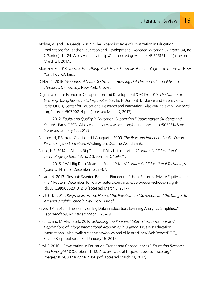- Molnar, A, and D R Garcia. 2007. "The Expanding Role of Privatization in Education: Implications for Teacher Education and Development." *Teacher Education Quarterly* 34, no 2 (Spring): 11–24. Also available at http://files.eric.ed.gov/fulltext/EJ795151.pdf (accessed March 21, 2017).
- Morozov, E. 2013. *To Save Everything, Click Here: The Folly of Technological Solutionism*. New York: PublicAffairs.
- O'Neil, C. 2016. *Weapons of Math Destruction: How Big Data Increases Inequality and Threatens Democracy*. New York: Crown.
- Organisation for Economic Co-operation and Development (OECD). 2010. *The Nature of Learning: Using Research to Inspire Practice.* Ed H Dumont, D Istance and F Benavides. Paris: OECD, Center for Educational Research and Innovation. Also available at www.oecd .org/edu/ceri/50300814.pdf (accessed March 7, 2017).
- ———. 2012. *Equity and Quality in Education: Supporting Disadvantaged Students and Schools*. Paris: OECD. Also available at www.oecd.org/education/school/50293148.pdf (accessed January 16, 2017).
- Patrinos, H, F Barrera-Osorio and J Guaqueta. 2009. *The Role and Impact of Public–Private Partnerships in Education.* Washington, DC: The World Bank.
- Pence, H E. 2014. "What Is Big Data and Why Is It Important?" *Journal of Educational Technology Systems* 43, no 2 (December): 159–71.
- ———. 2015. "Will Big Data Mean the End of Privacy?" *Journal of Educational Technology Systems* 44, no 2 (December): 253–67.
- Pollard, N. 2013. "Insight: Sweden Rethinks Pioneering School Reforms, Private Equity Under Fire." Reuters, December 10. www.reuters.com/article/us-sweden-schools-insightidUSBRE9B905620131210 (accessed March 6, 2017).
- Ravitch, D. 2014. *Reign of Error: The Hoax of the Privatization Movement and the Danger to America's Public Schools*. New York: Knopf.
- Reyes, J A. 2015. "The Skinny on Big Data in Education: Learning Analytics Simplified." *TechTrends* 59, no 2 (March/April): 75–79.
- Riep, C, and M Machacek. 2016. *Schooling the Poor Profitably: The Innovations and Deprivations of Bridge International Academies in Uganda*. Brussels: Education International. Also available at https://download.ei-ie.org/Docs/WebDepot/DOC\_ Final\_28sept.pdf (accessed January 16, 2017).
- Rizvi, F. 2016. "Privatization in Education: Trends and Consequences." *Education Research and Foresight* 18 (October): 1–12. Also available at http://unesdoc.unesco.org/ images/0024/002464/246485E.pdf (accessed March 21, 2017).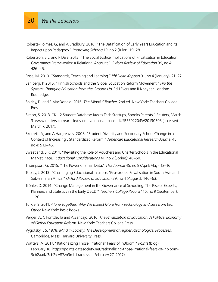- Roberts-Holmes, G, and A Bradbury. 2016. "The Datafication of Early Years Education and Its Impact upon Pedagogy." *Improving Schools* 19, no 2 (July): 119–28.
- Robertson, S L, and R Dale. 2013. "The Social Justice Implications of Privatisation in Education Governance Frameworks: A Relational Account." *Oxford Review of Education* 39, no 4: 426–45.
- Rose, M. 2010. "Standards, Teaching and Learning." *Phi Delta Kappan* 91, no 4 (January): 21–27.
- Sahlberg, P. 2016. "Finnish Schools and the Global Education Reform Movement." *Flip the System: Changing Education from the Ground Up*. Ed J Evers and R Kneyber. London: Routledge.
- Shirley, D, and E MacDonald. 2016. *The Mindful Teacher*. 2nd ed. New York: Teachers College Press.
- Simon, S. 2013. "K–12 Student Database Jazzes Tech Startups, Spooks Parents." Reuters, March 3. www.reuters.com/article/us-education-database-idUSBRE92204W20130303 (accessed March 7, 2017).
- Skerrett, A, and A Hargreaves. 2008. "Student Diversity and Secondary School Change in a Context of Increasingly Standardized Reform." *American Educational Research Journal* 45, no 4: 913–45.
- Sweetland, S R. 2014. "Revisiting the Role of Vouchers and Charter Schools in the Educational Market Place." *Educational Considerations* 41, no 2 (Spring): 46–50.
- Thompson, G. 2015. "The Power of Small Data." *THE Journal* 45, no 8 (April/May): 12–16.
- Tooley, J. 2013. "Challenging Educational Injustice: 'Grassroots' Privatisation in South Asia and Sub-Saharan Africa." *Oxford Review of Education* 39, no 4 (August): 446–63.
- Tröhler, D. 2014. "Change Management in the Governance of Schooling: The Rise of Experts, Planners and Statistics in the Early OECD." *Teachers College Record* 116, no 9 (September):  $1 - 26$ .
- Turkle, S. 2011. *Alone Together: Why We Expect More from Technology and Less from Each Other*. New York: Basic Books.
- Verger, A, C Fontdevila and A Zancajo. 2016. *The Privatization of Education: A Political Economy of Global Education Reform.* New York: Teachers College Press.
- Vygotsky, L S. 1978. *Mind in Society: The Development of Higher Psychological Processes*. Cambridge, Mass: Harvard University Press.
- Watters, A. 2017. "Rationalizing Those 'Irrational' Fears of inBloom." *Points* (blog), February 16. https://points.datasociety.net/rationalizing-those-irrational-fears-of-inbloom-9cb2aa4a3cb2#.y87zb3mb1 (accessed February 27, 2017).